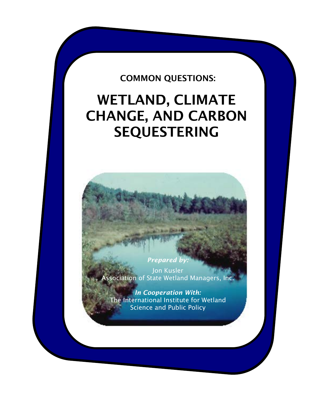## COMMON QUESTIONS:

# WETLAND, CLIMATE CHANGE, AND CARBON SEQUESTERING

Jon Kusler Association of State Wetland Managers, Inc.

**Prepared by:** 

*In Cooperation With:* The International Institute for Wetland Science and Public Policy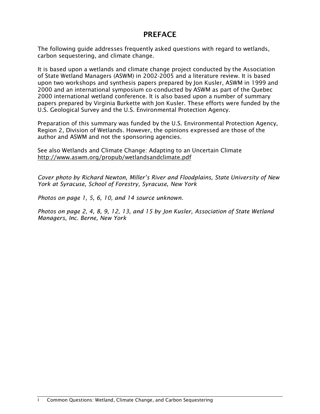## PREFACE

The following guide addresses frequently asked questions with regard to wetlands, carbon sequestering, and climate change.

It is based upon a wetlands and climate change project conducted by the Association of State Wetland Managers (ASWM) in 2002-2005 and a literature review. It is based upon two workshops and synthesis papers prepared by Jon Kusler, ASWM in 1999 and 2000 and an international symposium co-conducted by ASWM as part of the Quebec 2000 international wetland conference. It is also based upon a number of summary papers prepared by Virginia Burkette with Jon Kusler. These efforts were funded by the U.S. Geological Survey and the U.S. Environmental Protection Agency.

Preparation of this summary was funded by the U.S. Environmental Protection Agency, Region 2, Division of Wetlands. However, the opinions expressed are those of the author and ASWM and not the sponsoring agencies.

See also Wetlands and Climate Change: Adapting to an Uncertain Climate <http://www.aswm.org/propub/wetlandsandclimate.pdf>

*Cover photo by Richard Newton, Miller's River and Floodplains, State University of New York at Syracuse, School of Forestry, Syracuse, New York*

*Photos on page 1, 5, 6, 10, and 14 source unknown.*

*Photos on page 2, 4, 8, 9, 12, 13, and 15 by Jon Kusler, Association of State Wetland Managers, Inc. Berne, New York*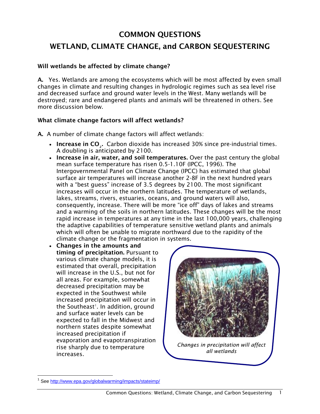## COMMON QUESTIONS

## WETLAND, CLIMATE CHANGE, and CARBON SEQUESTERING

## Will wetlands be affected by climate change?

A. Yes. Wetlands are among the ecosystems which will be most affected by even small changes in climate and resulting changes in hydrologic regimes such as sea level rise and decreased surface and ground water levels in the West. Many wetlands will be destroyed; rare and endangered plants and animals will be threatened in others. See more discussion below.

## What climate change factors will affect wetlands?

A. A number of climate change factors will affect wetlands:

- Increase in CO<sub>2</sub>. Carbon dioxide has increased 30% since pre-industrial times. A doubling is anticipated by 2100.
- Increase in air, water, and soil temperatures. Over the past century the global mean surface temperature has risen 0.5-1.10F (IPCC, 1996). The Intergovernmental Panel on Climate Change (IPCC) has estimated that global surface air temperatures will increase another 2-8F in the next hundred years with a "best guess" increase of 3.5 degrees by 2100. The most significant increases will occur in the northern latitudes. The temperature of wetlands, lakes, streams, rivers, estuaries, oceans, and ground waters will also, consequently, increase. There will be more "ice off" days of lakes and streams and a warming of the soils in northern latitudes. These changes will be the most rapid increase in temperatures at any time in the last 100,000 years, challenging the adaptive capabilities of temperature sensitive wetland plants and animals which will often be unable to migrate northward due to the rapidity of the climate change or the fragmentation in systems.
- Changes in the amounts and timing of precipitation. Pursuant to various climate change models, it is estimated that overall, precipitation will increase in the U.S., but not for all areas. For example, somewhat decreased precipitation may be expected in the Southwest while increased precipitation will occur in the Southeast<sup>[1](#page-2-0)</sup>. In addition, ground and surface water levels can be expected to fall in the Midwest and northern states despite somewhat increased precipitation if evaporation and evapotranspiration rise sharply due to temperature increases.



<span id="page-2-0"></span><sup>&</sup>lt;sup>1</sup> See<http://www.epa.gov/globalwarming/impacts/stateimp/>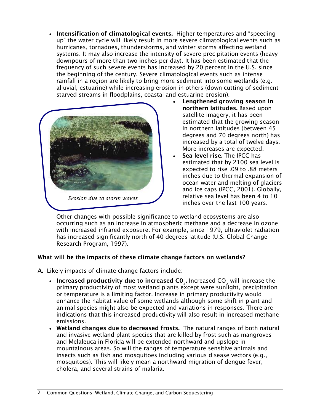• Intensification of climatological events. Higher temperatures and "speeding up" the water cycle will likely result in more severe climatological events such as hurricanes, tornadoes, thunderstorms, and winter storms affecting wetland systems. It may also increase the intensity of severe precipitation events (heavy downpours of more than two inches per day). It has been estimated that the frequency of such severe events has increased by 20 percent in the U.S. since the beginning of the century. Severe climatological events such as intense rainfall in a region are likely to bring more sediment into some wetlands (e.g. alluvial, estuarine) while increasing erosion in others (down cutting of sedimentstarved streams in floodplains, coastal and estuarine erosion).



- Lengthened growing season in northern latitudes. Based upon satellite imagery, it has been estimated that the growing season in northern latitudes (between 45 degrees and 70 degrees north) has increased by a total of twelve days. More increases are expected.
- Sea level rise. The IPCC has estimated that by 2100 sea level is expected to rise .09 to .88 meters inches due to thermal expansion of ocean water and melting of glaciers and ice caps (IPCC, 2001). Globally, relative sea level has been 4 to 10 inches over the last 100 years.

Other changes with possible significance to wetland ecosystems are also occurring such as an increase in atmospheric methane and a decrease in ozone with increased infrared exposure. For example, since 1979, ultraviolet radiation has increased significantly north of 40 degrees latitude (U.S. Global Change Research Program, 1997).

## What will be the impacts of these climate change factors on wetlands?

- A. Likely impacts of climate change factors include:
	- Increased productivity due to increased  $CO<sub>2</sub>$ . Increased  $CO<sub>2</sub>$  will increase the primary productivity of most wetland plants except were sunlight, precipitation or temperature is a limiting factor. Increase in primary productivity would enhance the habitat value of some wetlands although some shift in plant and animal species might also be expected and variations in responses. There are indications that this increased productivity will also result in increased methane emissions.
	- Wetland changes due to decreased frosts. The natural ranges of both natural and invasive wetland plant species that are killed by frost such as mangroves and Melaleuca in Florida will be extended northward and upslope in mountainous areas. So will the ranges of temperature sensitive animals and insects such as fish and mosquitoes including various disease vectors (e.g., mosquitoes). This will likely mean a northward migration of dengue fever, cholera, and several strains of malaria.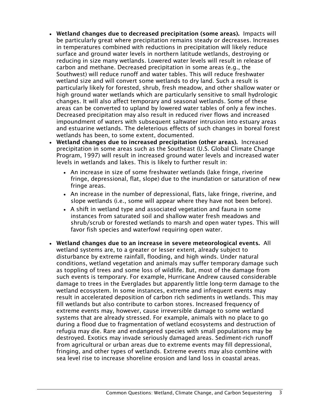- Wetland changes due to decreased precipitation (some areas). Impacts will be particularly great where precipitation remains steady or decreases. Increases in temperatures combined with reductions in precipitation will likely reduce surface and ground water levels in northern latitude wetlands, destroying or reducing in size many wetlands. Lowered water levels will result in release of carbon and methane. Decreased precipitation in some areas (e.g., the Southwest) will reduce runoff and water tables. This will reduce freshwater wetland size and will convert some wetlands to dry land. Such a result is particularly likely for forested, shrub, fresh meadow, and other shallow water or high ground water wetlands which are particularly sensitive to small hydrologic changes. It will also affect temporary and seasonal wetlands. Some of these areas can be converted to upland by lowered water tables of only a few inches. Decreased precipitation may also result in reduced river flows and increased impoundment of waters with subsequent saltwater intrusion into estuary areas and estuarine wetlands. The deleterious effects of such changes in boreal forest wetlands has been, to some extent, documented.
- Wetland changes due to increased precipitation (other areas). Increased precipitation in some areas such as the Southeast (U.S. Global Climate Change Program, 1997) will result in increased ground water levels and increased water levels in wetlands and lakes. This is likely to further result in:
	- An increase in size of some freshwater wetlands (lake fringe, riverine fringe, depressional, flat, slope) due to the inundation or saturation of new fringe areas.
	- An increase in the number of depressional, flats, lake fringe, riverine, and slope wetlands (i.e., some will appear where they have not been before).
	- A shift in wetland type and associated vegetation and fauna in some instances from saturated soil and shallow water fresh meadows and shrub/scrub or forested wetlands to marsh and open water types. This will favor fish species and waterfowl requiring open water.
- Wetland changes due to an increase in severe meteorological events. All wetland systems are, to a greater or lesser extent, already subject to disturbance by extreme rainfall, flooding, and high winds. Under natural conditions, wetland vegetation and animals may suffer temporary damage such as toppling of trees and some loss of wildlife. But, most of the damage from such events is temporary. For example, Hurricane Andrew caused considerable damage to trees in the Everglades but apparently little long-term damage to the wetland ecosystem. In some instances, extreme and infrequent events may result in accelerated deposition of carbon rich sediments in wetlands. This may fill wetlands but also contribute to carbon stores. Increased frequency of extreme events may, however, cause irreversible damage to some wetland systems that are already stressed. For example, animals with no place to go during a flood due to fragmentation of wetland ecosystems and destruction of refugia may die. Rare and endangered species with small populations may be destroyed. Exotics may invade seriously damaged areas. Sediment-rich runoff from agricultural or urban areas due to extreme events may fill depressional, fringing, and other types of wetlands. Extreme events may also combine with sea level rise to increase shoreline erosion and land loss in coastal areas.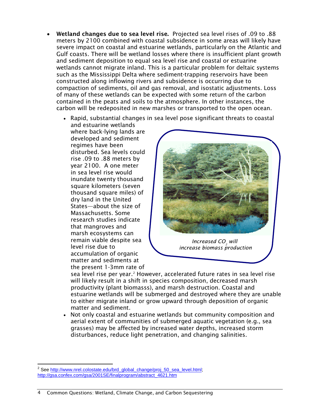- Wetland changes due to sea level rise. Projected sea level rises of .09 to .88 meters by 2100 combined with coastal subsidence in some areas will likely have severe impact on coastal and estuarine wetlands, particularly on the Atlantic and Gulf coasts. There will be wetland losses where there is insufficient plant growth and sediment deposition to equal sea level rise and coastal or estuarine wetlands cannot migrate inland. This is a particular problem for deltaic systems such as the Mississippi Delta where sediment-trapping reservoirs have been constructed along inflowing rivers and subsidence is occurring due to compaction of sediments, oil and gas removal, and isostatic adjustments. Loss of many of these wetlands can be expected with some return of the carbon contained in the peats and soils to the atmosphere. In other instances, the carbon will be redeposited in new marshes or transported to the open ocean.
	- Rapid, substantial changes in sea level pose significant threats to coastal and estuarine wetlands

where back-lying lands are developed and sediment regimes have been disturbed. Sea levels could rise .09 to .88 meters by year 2100. A one meter in sea level rise would inundate twenty thousand square kilometers (seven thousand square miles) of dry land in the United States—about the size of Massachusetts. Some research studies indicate that mangroves and marsh ecosystems can remain viable despite sea level rise due to accumulation of organic matter and sediments at the present 1-3mm rate of



*Increased CO<sub>2</sub> will increase biomass production*

sea level rise per year.<sup>[2](#page-5-0)</sup> However, accelerated future rates in sea level rise will likely result in a shift in species composition, decreased marsh productivity (plant biomasss), and marsh destruction. Coastal and estuarine wetlands will be submerged and destroyed where they are unable to either migrate inland or grow upward through deposition of organic matter and sediment.

• Not only coastal and estuarine wetlands but community composition and aerial extent of communities of submerged aquatic vegetation (e.g., sea grasses) may be affected by increased water depths, increased storm disturbances, reduce light penetration, and changing salinities.

<span id="page-5-0"></span>See [http://www.nrel.colostate.edu/brd\\_global\\_change/proj\\_50\\_sea\\_level.html;](http://www.nrel.colostate.edu/brd_global_change/proj_50_sea_level.html) [http://gsa.confex.com/gsa/2001SE/finalprogram/abstract\\_4621.htm](http://gsa.confex.com/gsa/2001SE/finalprogram/abstract_4621.htm)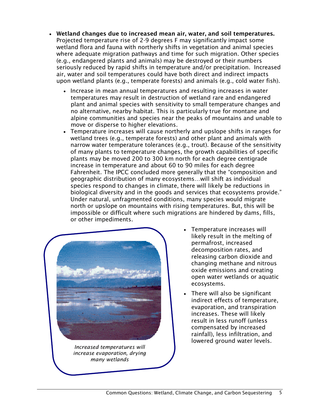- Wetland changes due to increased mean air, water, and soil temperatures. Projected temperature rise of 2-9 degrees F may significantly impact some wetland flora and fauna with northerly shifts in vegetation and animal species where adequate migration pathways and time for such migration. Other species (e.g., endangered plants and animals) may be destroyed or their numbers seriously reduced by rapid shifts in temperature and/or precipitation. Increased air, water and soil temperatures could have both direct and indirect impacts upon wetland plants (e.g., temperate forests) and animals (e.g., cold water fish).
	- Increase in mean annual temperatures and resulting increases in water temperatures may result in destruction of wetland rare and endangered plant and animal species with sensitivity to small temperature changes and no alternative, nearby habitat. This is particularly true for montane and alpine communities and species near the peaks of mountains and unable to move or disperse to higher elevations.
	- Temperature increases will cause northerly and upslope shifts in ranges for wetland trees (e.g., temperate forests) and other plant and animals with narrow water temperature tolerances (e.g., trout). Because of the sensitivity of many plants to temperature changes, the growth capabilities of specific plants may be moved 200 to 300 km north for each degree centigrade increase in temperature and about 60 to 90 miles for each degree Fahrenheit. The IPCC concluded more generally that the "composition and geographic distribution of many ecosystems…will shift as individual species respond to changes in climate, there will likely be reductions in biological diversity and in the goods and services that ecosystems provide." Under natural, unfragmented conditions, many species would migrate north or upslope on mountains with rising temperatures. But, this will be impossible or difficult where such migrations are hindered by dams, fills, or other impediments.



*Increased temperatures will increase evaporation, drying many wetlands*

- Temperature increases will likely result in the melting of permafrost, increased decomposition rates, and releasing carbon dioxide and changing methane and nitrous oxide emissions and creating open water wetlands or aquatic ecosystems.
- There will also be significant indirect effects of temperature, evaporation, and transpiration increases. These will likely result in less runoff (unless compensated by increased rainfall), less infiltration, and lowered ground water levels.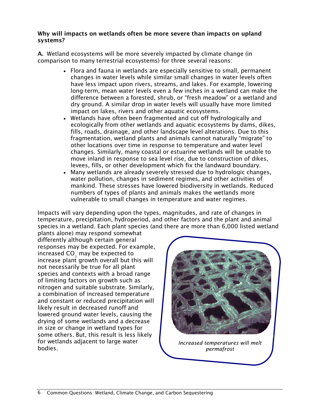## Why will impacts on wetlands often be more severe than impacts on upland systems?

A. Wetland ecosystems will be more severely impacted by climate change (in comparison to many terrestrial ecosystems) for three several reasons:

- Flora and fauna in wetlands are especially sensitive to small, permanent changes in water levels while similar small changes in water levels often have less impact upon rivers, streams, and lakes. For example, lowering long-term, mean water levels even a few inches in a wetland can make the difference between a forested, shrub, or "fresh meadow" or a wetland and dry ground. A similar drop in water levels will usually have more limited impact on lakes, rivers and other aquatic ecosystems.
- Wetlands have often been fragmented and cut off hydrologically and ecologically from other wetlands and aquatic ecosystems by dams, dikes, fills, roads, drainage, and other landscape level alterations. Due to this fragmentation, wetland plants and animals cannot naturally "migrate" to other locations over time in response to temperature and water level changes. Similarly, many coastal or estuarine wetlands will be unable to move inland in response to sea level rise, due to construction of dikes, levees, fills, or other development which fix the landward boundary.
- Many wetlands are already severely stressed due to hydrologic changes, water pollution, changes in sediment regimes, and other activities of mankind. These stresses have lowered biodiversity in wetlands. Reduced numbers of types of plants and animals makes the wetlands more vulnerable to small changes in temperature and water regimes.

Impacts will vary depending upon the types, magnitudes, and rate of changes in temperature, precipitation, hydroperiod, and other factors and the plant and animal species in a wetland. Each plant species (and there are more than 6,000 listed wetland

plants alone) may respond somewhat differently although certain general responses may be expected. For example, increased CO<sub>2</sub> may be expected to increase plant growth overall but this will not necessarily be true for all plant species and contexts with a broad range of limiting factors on growth such as nitrogen and suitable substrate. Similarly, a combination of increased temperature and constant or reduced precipitation will likely result in decreased runoff and lowered ground water levels, causing the drying of some wetlands and a decrease in size or change in wetland types for some others. But, this result is less likely for wetlands adjacent to large water bodies.



*Increased temperatures will melt permafrost*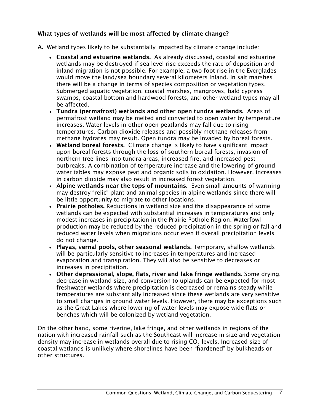## What types of wetlands will be most affected by climate change?

- A. Wetland types likely to be substantially impacted by climate change include:
	- Coastal and estuarine wetlands. As already discussed, coastal and estuarine wetlands may be destroyed if sea level rise exceeds the rate of deposition and inland migration is not possible. For example, a two-foot rise in the Everglades would move the land/sea boundary several kilometers inland. In salt marshes there will be a change in terms of species composition or vegetation types. Submerged aquatic vegetation, coastal marshes, mangroves, bald cypress swamps, coastal bottomland hardwood forests, and other wetland types may all be affected.
	- Tundra (permafrost) wetlands and other open tundra wetlands. Areas of permafrost wetland may be melted and converted to open water by temperature increases. Water levels in other open peatlands may fall due to rising temperatures. Carbon dioxide releases and possibly methane releases from methane hydrates may result. Open tundra may be invaded by boreal forests.
	- Wetland boreal forests. Climate change is likely to have significant impact upon boreal forests through the loss of southern boreal forests, invasion of northern tree lines into tundra areas, increased fire, and increased pest outbreaks. A combination of temperature increase and the lowering of ground water tables may expose peat and organic soils to oxidation. However, increases in carbon dioxide may also result in increased forest vegetation.
	- Alpine wetlands near the tops of mountains. Even small amounts of warming may destroy "relic" plant and animal species in alpine wetlands since there will be little opportunity to migrate to other locations.
	- Prairie potholes. Reductions in wetland size and the disappearance of some wetlands can be expected with substantial increases in temperatures and only modest increases in precipitation in the Prairie Pothole Region. Waterfowl production may be reduced by the reduced precipitation in the spring or fall and reduced water levels when migrations occur even if overall precipitation levels do not change.
	- Playas, vernal pools, other seasonal wetlands. Temporary, shallow wetlands will be particularly sensitive to increases in temperatures and increased evaporation and transpiration. They will also be sensitive to decreases or increases in precipitation.
	- Other depressional, slope, flats, river and lake fringe wetlands. Some drying, decrease in wetland size, and conversion to uplands can be expected for most freshwater wetlands where precipitation is decreased or remains steady while temperatures are substantially increased since these wetlands are very sensitive to small changes in ground water levels. However, there may be exceptions such as the Great Lakes where lowering of water levels may expose wide flats or benches which will be colonized by wetland vegetation.

On the other hand, some riverine, lake fringe, and other wetlands in regions of the nation with increased rainfall such as the Southeast will increase in size and vegetation density may increase in wetlands overall due to rising CO<sub>2</sub> levels. Increased size of coastal wetlands is unlikely where shorelines have been "hardened" by bulkheads or other structures.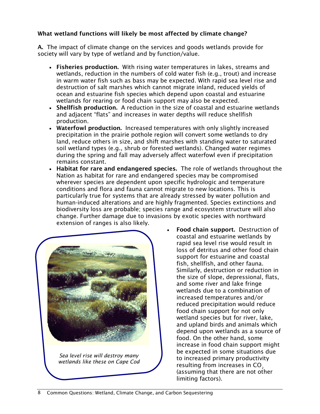## What wetland functions will likely be most affected by climate change?

A. The impact of climate change on the services and goods wetlands provide for society will vary by type of wetland and by function/value.

- Fisheries production. With rising water temperatures in lakes, streams and wetlands, reduction in the numbers of cold water fish (e.g., trout) and increase in warm water fish such as bass may be expected. With rapid sea level rise and destruction of salt marshes which cannot migrate inland, reduced yields of ocean and estuarine fish species which depend upon coastal and estuarine wetlands for rearing or food chain support may also be expected.
- Shellfish production. A reduction in the size of coastal and estuarine wetlands and adjacent "flats" and increases in water depths will reduce shellfish production.
- Waterfowl production. Increased temperatures with only slightly increased precipitation in the prairie pothole region will convert some wetlands to dry land, reduce others in size, and shift marshes with standing water to saturated soil wetland types (e.g., shrub or forested wetlands). Changed water regimes during the spring and fall may adversely affect waterfowl even if precipitation remains constant.
- Habitat for rare and endangered species. The role of wetlands throughout the Nation as habitat for rare and endangered species may be compromised wherever species are dependent upon specific hydrologic and temperature conditions and flora and fauna cannot migrate to new locations. This is particularly true for systems that are already stressed by water pollution and human-induced alterations and are highly fragmented. Species extinctions and biodiversity loss are probable; species range and ecosystem structure will also change. Further damage due to invasions by exotic species with northward extension of ranges is also likely.



*Sea level rise will destroy many wetlands like these on Cape Cod*

• Food chain support. Destruction of coastal and estuarine wetlands by rapid sea level rise would result in loss of detritus and other food chain support for estuarine and coastal fish, shellfish, and other fauna. Similarly, destruction or reduction in the size of slope, depressional, flats, and some river and lake fringe wetlands due to a combination of increased temperatures and/or reduced precipitation would reduce food chain support for not only wetland species but for river, lake, and upland birds and animals which depend upon wetlands as a source of food. On the other hand, some increase in food chain support might be expected in some situations due to increased primary productivity resulting from increases in CO<sub>2</sub> (assuming that there are not other limiting factors).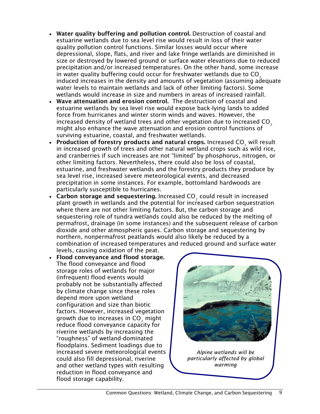- Water quality buffering and pollution control. Destruction of coastal and estuarine wetlands due to sea level rise would result in loss of their water quality pollution control functions. Similar losses would occur where depressional, slope, flats, and river and lake fringe wetlands are diminished in size or destroyed by lowered ground or surface water elevations due to reduced precipitation and/or increased temperatures. On the other hand, some increase in water quality buffering could occur for freshwater wetlands due to CO<sub>2</sub> induced increases in the density and amounts of vegetation (assuming adequate water levels to maintain wetlands and lack of other limiting factors). Some wetlands would increase in size and numbers in areas of increased rainfall.
- Wave attenuation and erosion control. The destruction of coastal and estuarine wetlands by sea level rise would expose back-lying lands to added force from hurricanes and winter storm winds and waves. However, the increased density of wetland trees and other vegetation due to increased  $CO<sub>2</sub>$ might also enhance the wave attenuation and erosion control functions of surviving estuarine, coastal, and freshwater wetlands.
- Production of forestry products and natural crops. Increased CO<sub>2</sub> will result in increased growth of trees and other natural wetland crops such as wild rice, and cranberries if such increases are not "limited" by phosphorus, nitrogen, or other limiting factors. Nevertheless, there could also be loss of coastal, estuarine, and freshwater wetlands and the forestry products they produce by sea level rise, increased severe meteorological events, and decreased precipitation in some instances. For example, bottomland hardwoods are particularly susceptible to hurricanes.
- Carbon storage and sequestering. Increased CO<sub>2</sub> could result in increased plant growth in wetlands and the potential for increased carbon sequestration where there are not other limiting factors. But, the carbon storage and sequestering role of tundra wetlands could also be reduced by the melting of permafrost, drainage (in some instances) and the subsequent release of carbon dioxide and other atmospheric gases. Carbon storage and sequestering by northern, nonpermafrost peatlands would also likely be reduced by a combination of increased temperatures and reduced ground and surface water levels, causing oxidation of the peat.
- Flood conveyance and flood storage. The flood conveyance and flood storage roles of wetlands for major (infrequent) flood events would probably not be substantially affected by climate change since these roles depend more upon wetland configuration and size than biotic factors. However, increased vegetation growth due to increases in CO<sub>2</sub> might reduce flood conveyance capacity for riverine wetlands by increasing the "roughness" of wetland-dominated floodplains. Sediment loadings due to increased severe meteorological events could also fill depressional, riverine and other wetland types with resulting reduction in flood conveyance and flood storage capability.



*Alpine wetlands will be particularly affected by global warming*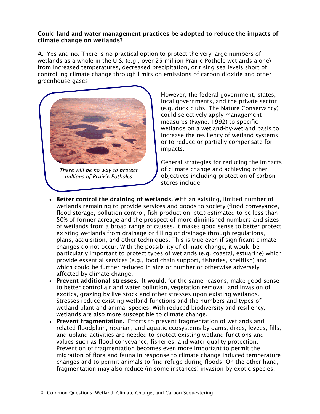## Could land and water management practices be adopted to reduce the impacts of climate change on wetlands?

A. Yes and no. There is no practical option to protect the very large numbers of wetlands as a whole in the U.S. (e.g., over 25 million Prairie Pothole wetlands alone) from increased temperatures, decreased precipitation, or rising sea levels short of controlling climate change through limits on emissions of carbon dioxide and other greenhouse gases.



*There will be no way to protect millions of Prairie Potholes*

However, the federal government, states, local governments, and the private sector (e.g. duck clubs, The Nature Conservancy) could selectively apply management measures (Payne, 1992) to specific wetlands on a wetland-by-wetland basis to increase the resiliency of wetland systems or to reduce or partially compensate for impacts.

General strategies for reducing the impacts of climate change and achieving other objectives including protection of carbon stores include:

- Better control the draining of wetlands. With an existing, limited number of wetlands remaining to provide services and goods to society (flood conveyance, flood storage, pollution control, fish production, etc.) estimated to be less than 50% of former acreage and the prospect of more diminished numbers and sizes of wetlands from a broad range of causes, it makes good sense to better protect existing wetlands from drainage or filling or drainage through regulations, plans, acquisition, and other techniques. This is true even if significant climate changes do not occur. With the possibility of climate change, it would be particularly important to protect types of wetlands (e.g. coastal, estuarine) which provide essential services (e.g., food chain support, fisheries, shellfish) and which could be further reduced in size or number or otherwise adversely affected by climate change.
- Prevent additional stresses. It would, for the same reasons, make good sense to better control air and water pollution, vegetation removal, and invasion of exotics, grazing by live stock and other stresses upon existing wetlands. Stresses reduce existing wetland functions and the numbers and types of wetland plant and animal species. With reduced biodiversity and resiliency, wetlands are also more susceptible to climate change.
- Prevent fragmentation. Efforts to prevent fragmentation of wetlands and related floodplain, riparian, and aquatic ecosystems by dams, dikes, levees, fills, and upland activities are needed to protect existing wetland functions and values such as flood conveyance, fisheries, and water quality protection. Prevention of fragmentation becomes even more important to permit the migration of flora and fauna in response to climate change induced temperature changes and to permit animals to find refuge during floods. On the other hand, fragmentation may also reduce (in some instances) invasion by exotic species.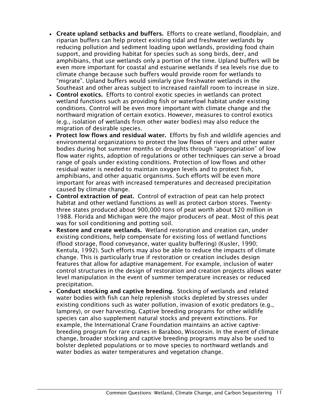- Create upland setbacks and buffers. Efforts to create wetland, floodplain, and riparian buffers can help protect existing tidal and freshwater wetlands by reducing pollution and sediment loading upon wetlands, providing food chain support, and providing habitat for species such as song birds, deer, and amphibians, that use wetlands only a portion of the time. Upland buffers will be even more important for coastal and estuarine wetlands if sea levels rise due to climate change because such buffers would provide room for wetlands to "migrate". Upland buffers would similarly give freshwater wetlands in the Southeast and other areas subject to increased rainfall room to increase in size.
- Control exotics. Efforts to control exotic species in wetlands can protect wetland functions such as providing fish or waterfowl habitat under existing conditions. Control will be even more important with climate change and the northward migration of certain exotics. However, measures to control exotics (e.g., isolation of wetlands from other water bodies) may also reduce the migration of desirable species.
- Protect low flows and residual water. Efforts by fish and wildlife agencies and environmental organizations to protect the low flows of rivers and other water bodies during hot summer months or droughts through "appropriation" of low flow water rights, adoption of regulations or other techniques can serve a broad range of goals under existing conditions. Protection of low flows and other residual water is needed to maintain oxygen levels and to protect fish, amphibians, and other aquatic organisms. Such efforts will be even more important for areas with increased temperatures and decreased precipitation caused by climate change.
- Control extraction of peat. Control of extraction of peat can help protect habitat and other wetland functions as well as protect carbon stores. Twentythree states produced about 900,000 tons of peat worth about \$20 million in 1988. Florida and Michigan were the major producers of peat. Most of this peat was for soil conditioning and potting soil.
- Restore and create wetlands. Wetland restoration and creation can, under existing conditions, help compensate for existing loss of wetland functions (flood storage, flood conveyance, water quality buffering) (Kusler, 1990; Kentula, 1992). Such efforts may also be able to reduce the impacts of climate change. This is particularly true if restoration or creation includes design features that allow for adaptive management. For example, inclusion of water control structures in the design of restoration and creation projects allows water level manipulation in the event of summer temperature increases or reduced precipitation.
- Conduct stocking and captive breeding. Stocking of wetlands and related water bodies with fish can help replenish stocks depleted by stresses under existing conditions such as water pollution, invasion of exotic predators (e.g., lamprey), or over harvesting. Captive breeding programs for other wildlife species can also supplement natural stocks and prevent extinctions. For example, the International Crane Foundation maintains an active captivebreeding program for rare cranes in Baraboo, Wisconsin. In the event of climate change, broader stocking and captive breeding programs may also be used to bolster depleted populations or to move species to northward wetlands and water bodies as water temperatures and vegetation change.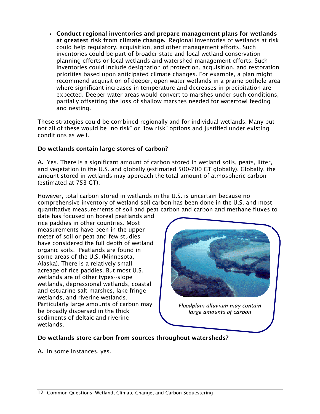• Conduct regional inventories and prepare management plans for wetlands at greatest risk from climate change. Regional inventories of wetlands at risk could help regulatory, acquisition, and other management efforts. Such inventories could be part of broader state and local wetland conservation planning efforts or local wetlands and watershed management efforts. Such inventories could include designation of protection, acquisition, and restoration priorities based upon anticipated climate changes. For example, a plan might recommend acquisition of deeper, open water wetlands in a prairie pothole area where significant increases in temperature and decreases in precipitation are expected. Deeper water areas would convert to marshes under such conditions, partially offsetting the loss of shallow marshes needed for waterfowl feeding and nesting.

These strategies could be combined regionally and for individual wetlands. Many but not all of these would be "no risk" or "low risk" options and justified under existing conditions as well.

## Do wetlands contain large stores of carbon?

A. Yes. There is a significant amount of carbon stored in wetland soils, peats, litter, and vegetation in the U.S. and globally (estimated 500-700 GT globally). Globally, the amount stored in wetlands may approach the total amount of atmospheric carbon (estimated at 753 GT).

However, total carbon stored in wetlands in the U.S. is uncertain because no comprehensive inventory of wetland soil carbon has been done in the U.S. and most quantitative measurements of soil and peat carbon and carbon and methane fluxes to

date has focused on boreal peatlands and rice paddies in other countries. Most measurements have been in the upper meter of soil or peat and few studies have considered the full depth of wetland organic soils. Peatlands are found in some areas of the U.S. (Minnesota, Alaska). There is a relatively small acreage of rice paddies. But most U.S. wetlands are of other types--slope wetlands, depressional wetlands, coastal and estuarine salt marshes, lake fringe wetlands, and riverine wetlands. Particularly large amounts of carbon may be broadly dispersed in the thick sediments of deltaic and riverine wetlands.



*Floodplain alluvium may contain large amounts of carbon*

## Do wetlands store carbon from sources throughout watersheds?

A. In some instances, yes.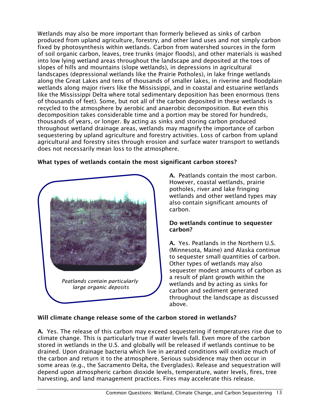Wetlands may also be more important than formerly believed as sinks of carbon produced from upland agriculture, forestry, and other land uses and not simply carbon fixed by photosynthesis within wetlands. Carbon from watershed sources in the form of soil organic carbon, leaves, tree trunks (major floods), and other materials is washed into low lying wetland areas throughout the landscape and deposited at the toes of slopes of hills and mountains (slope wetlands), in depressions in agricultural landscapes (depressional wetlands like the Prairie Potholes), in lake fringe wetlands along the Great Lakes and tens of thousands of smaller lakes, in riverine and floodplain wetlands along major rivers like the Mississippi, and in coastal and estuarine wetlands like the Mississippi Delta where total sedimentary deposition has been enormous (tens of thousands of feet). Some, but not all of the carbon deposited in these wetlands is recycled to the atmosphere by aerobic and anaerobic decomposition. But even this decomposition takes considerable time and a portion may be stored for hundreds, thousands of years, or longer. By acting as sinks and storing carbon produced throughout wetland drainage areas, wetlands may magnify the importance of carbon sequestering by upland agriculture and forestry activities. Loss of carbon from upland agricultural and forestry sites through erosion and surface water transport to wetlands does not necessarily mean loss to the atmosphere.



## What types of wetlands contain the most significant carbon stores?

A. Peatlands contain the most carbon. However, coastal wetlands, prairie potholes, river and lake fringing wetlands and other wetland types may also contain significant amounts of carbon.

#### Do wetlands continue to sequester carbon?

A. Yes. Peatlands in the Northern U.S. (Minnesota, Maine) and Alaska continue to sequester small quantities of carbon. Other types of wetlands may also sequester modest amounts of carbon as a result of plant growth within the wetlands and by acting as sinks for carbon and sediment generated throughout the landscape as discussed above.

## Will climate change release some of the carbon stored in wetlands?

A. Yes. The release of this carbon may exceed sequestering if temperatures rise due to climate change. This is particularly true if water levels fall. Even more of the carbon stored in wetlands in the U.S. and globally will be released if wetlands continue to be drained. Upon drainage bacteria which live in aerated conditions will oxidize much of the carbon and return it to the atmosphere. Serious subsidence may then occur in some areas (e.g., the Sacramento Delta, the Everglades). Release and sequestration will depend upon atmospheric carbon dioxide levels, temperature, water levels, fires, tree harvesting, and land management practices. Fires may accelerate this release.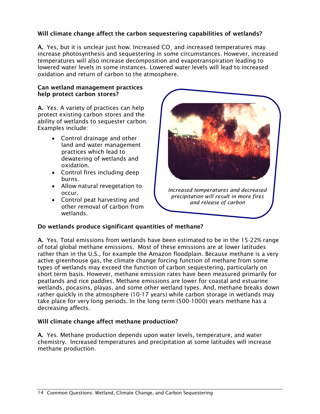## Will climate change affect the carbon sequestering capabilities of wetlands?

A. Yes, but it is unclear just how. Increased CO<sub>2</sub> and increased temperatures may increase photosynthesis and sequestering in some circumstances. However, increased temperatures will also increase decomposition and evapotranspiration leading to lowered water levels in some instances. Lowered water levels will lead to increased oxidation and return of carbon to the atmosphere.

## Can wetland management practices help protect carbon stores?

A. Yes. A variety of practices can help protect existing carbon stores and the ability of wetlands to sequester carbon. Examples include:

- Control drainage and other land and water management practices which lead to dewatering of wetlands and oxidation.
- Control fires including deep burns.
- Allow natural revegetation to occur.
- Control peat harvesting and other removal of carbon from wetlands.



*Increased temperatures and decreased precipitation will result in more fires and release of carbon*

## Do wetlands produce significant quantities of methane?

A. Yes. Total emissions from wetlands have been estimated to be in the 15-22% range of total global methane emissions. Most of these emissions are at lower latitudes rather than in the U.S., for example the Amazon floodplain. Because methane is a very active greenhouse gas, the climate change forcing function of methane from some types of wetlands may exceed the function of carbon sequestering, particularly on short term basis. However, methane emission rates have been measured primarily for peatlands and rice paddies. Methane emissions are lower for coastal and estuarine wetlands, pocasins, playas, and some other wetland types. And, methane breaks down rather quickly in the atmosphere (10-17 years) while carbon storage in wetlands may take place for very long periods. In the long term (500-1000) years methane has a decreasing affects.

## Will climate change affect methane production?

A. Yes. Methane production depends upon water levels, temperature, and water chemistry. Increased temperatures and precipitation at some latitudes will increase methane production.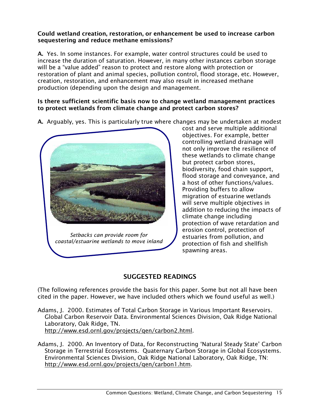## Could wetland creation, restoration, or enhancement be used to increase carbon sequestering and reduce methane emissions?

A. Yes. In some instances. For example, water control structures could be used to increase the duration of saturation. However, in many other instances carbon storage will be a "value added" reason to protect and restore along with protection or restoration of plant and animal species, pollution control, flood storage, etc. However, creation, restoration, and enhancement may also result in increased methane production (depending upon the design and management.

## Is there sufficient scientific basis now to change wetland management practices to protect wetlands from climate change and protect carbon stores?

A. Arguably, yes. This is particularly true where changes may be undertaken at modest



cost and serve multiple additional objectives. For example, better controlling wetland drainage will not only improve the resilience of these wetlands to climate change but protect carbon stores, biodiversity, food chain support, flood storage and conveyance, and a host of other functions/values. Providing buffers to allow migration of estuarine wetlands will serve multiple objectives in addition to reducing the impacts of climate change including protection of wave retardation and erosion control, protection of estuaries from pollution, and protection of fish and shellfish spawning areas.

## SUGGESTED READINGS

(The following references provide the basis for this paper. Some but not all have been cited in the paper. However, we have included others which we found useful as well.)

- Adams, J. 2000. Estimates of Total Carbon Storage in Various Important Reservoirs. Global Carbon Reservoir Data. Environmental Sciences Division, Oak Ridge National Laboratory, Oak Ridge, TN. [http://www.esd.ornl.gov/projects/qen/carbon2.html.](http://www.esd.ornl.gov/projects/qen/carbon2.html)
- Adams, J. 2000. An Inventory of Data, for Reconstructing 'Natural Steady State' Carbon Storage in Terrestrial Ecosystems. Quaternary Carbon Storage in Global Ecosystems. Environmental Sciences Division, Oak Ridge National Laboratory, Oak Ridge, TN: [http://www.esd.ornl.gov/projects/qen/carbon1.htm.](http://www.esd.ornl.gov/projects/qen/carbon1.htm)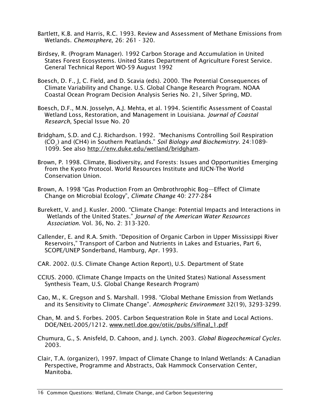- Bartlett, K.B. and Harris, R.C. 1993. Review and Assessment of Methane Emissions from Wetlands. *Chemosphere,* 26: 261 - 320.
- Birdsey, R. (Program Manager). 1992 Carbon Storage and Accumulation in United States Forest Ecosystems. United States Department of Agriculture Forest Service. General Technical Report WO-59 August 1992
- Boesch, D. F., J, C. Field, and D. Scavia (eds). 2000. The Potential Consequences of Climate Variability and Change. U.S. Global Change Research Program. NOAA Coastal Ocean Program Decision Analysis Series No. 21, Silver Spring, MD.
- Boesch, D.F., M.N. Josselyn, A.J. Mehta, et al. 1994. Scientific Assessment of Coastal Wetland Loss, Restoration, and Management in Louisiana. *Journal of Coastal Research*, Special Issue No. 20
- Bridgham, S.D. and C.J. Richardson. 1992. "Mechanisms Controlling Soil Respiration (CO2) and (CH4) in Southern Peatlands." *Soil Biology and Biochemistry*. 24:1089- 1099. See also [http://env.duke.edu/wetland/bridgham.](http://env.duke.edu/wetland/bridgham)
- Brown, P. 1998. Climate, Biodiversity, and Forests: Issues and Opportunities Emerging from the Kyoto Protocol. World Resources Institute and IUCN-The World Conservation Union.
- Brown, A. 1998 "Gas Production From an Ombrothrophic Bog—Effect of Climate Change on Microbial Ecology", *Climate Change* 40: 277-284
- Burekett, V. and J. Kusler. 2000. "Climate Change: Potential Impacts and Interactions in Wetlands of the United States." *Journal of the American Water Resources Association.* Vol. 36, No. 2: 313-320.
- Callender, E. and R.A. Smith. "Deposition of Organic Carbon in Upper Mississippi River Reservoirs," Transport of Carbon and Nutrients in Lakes and Estuaries, Part 6, SCOPE/UNEP Sonderband, Hamburg, Apr. 1993.
- CAR. 2002. (U.S. Climate Change Action Report), U.S. Department of State
- CCIUS. 2000. (Climate Change Impacts on the United States) National Assessment Synthesis Team, U.S. Global Change Research Program)
- Cao, M., K. Gregson and S. Marshall. 1998. "Global Methane Emission from Wetlands and its Sensitivity to Climate Change". *Atmospheric Environment* 32(19), 3293-3299.
- Chan, M. and S. Forbes. 2005. Carbon Sequestration Role in State and Local Actions. DOE/NEtL-2005/1212. [www.netl.doe.gov/otiic/pubs/slfinal\\_1.pdf](http://www.netl.doe.gov/otiic/pubs/slfinal_1.pdf)
- Chumura, G., S. Anisfeld, D. Cahoon, and J. Lynch. 2003. *Global Biogeochemical Cycles*. 2003.
- Clair, T.A. (organizer), 1997. Impact of Climate Change to Inland Wetlands: A Canadian Perspective, Programme and Abstracts, Oak Hammock Conservation Center, Manitoba.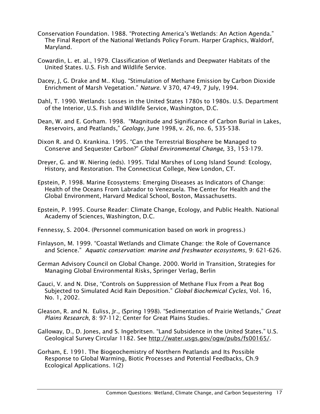- Conservation Foundation. 1988. "Protecting America's Wetlands: An Action Agenda." The Final Report of the National Wetlands Policy Forum. Harper Graphics, Waldorf, Maryland.
- Cowardin, L. et. al., 1979. Classification of Wetlands and Deepwater Habitats of the United States. U.S. Fish and Wildlife Service.
- Dacey, J, G. Drake and M.. Klug. "Stimulation of Methane Emission by Carbon Dioxide Enrichment of Marsh Vegetation." *Nature*. V 370, 47-49, 7 July, 1994.
- Dahl, T. 1990. Wetlands: Losses in the United States 1780s to 1980s. U.S. Department of the Interior, U.S. Fish and Wildlife Service, Washington, D.C.
- Dean, W. and E. Gorham. 1998. "Magnitude and Significance of Carbon Burial in Lakes, Reservoirs, and Peatlands," *Geology*, June 1998, v. 26, no. 6, 535-538.
- Dixon R. and O. Krankina. 1995. "Can the Terrestrial Biosphere be Managed to Conserve and Sequester Carbon?" *Global Environmental Change,* 33, 153-179.
- Dreyer, G. and W. Niering (eds). 1995. Tidal Marshes of Long Island Sound: Ecology, History, and Restoration. The Connecticut College, New London, CT.
- Epstein, P. 1998. Marine Ecosystems: Emerging Diseases as Indicators of Change: Health of the Oceans From Labrador to Venezuela. The Center for Health and the Global Environment, Harvard Medical School, Boston, Massachusetts.
- Epstein, P. 1995. Course Reader: Climate Change, Ecology, and Public Health. National Academy of Sciences, Washington, D.C.
- Fennessy, S. 2004. (Personnel communication based on work in progress.)
- Finlayson, M. 1999. "Coastal Wetlands and Climate Change: the Role of Governance and Science." *Aquatic conservation: marine and freshwater ecosystems*, 9: 621-626.
- German Advisory Council on Global Change. 2000. World in Transition, Strategies for Managing Global Environmental Risks, Springer Verlag, Berlin
- Gauci, V. and N. Dise, "Controls on Suppression of Methane Flux From a Peat Bog Subjected to Simulated Acid Rain Deposition." *Global Biochemical Cycles*, Vol. 16, No. 1, 2002.
- Gleason, R. and N. Euliss, Jr., (Spring 1998). "Sedimentation of Prairie Wetlands," *Great Plains Research*, 8: 97-112; Center for Great Plains Studies.
- Galloway, D., D. Jones, and S. Ingebritsen. "Land Subsidence in the United States." U.S. Geological Survey Circular 1182. See [http://water.usgs.gov/ogw/pubs/fs00165/.](http://water.usgs.gov/ogw/pubs/fs00165/)
- Gorham, E. 1991. The Biogeochemistry of Northern Peatlands and Its Possible Response to Global Warming, Biotic Processes and Potential Feedbacks, Ch.9 Ecological Applications. 1(2)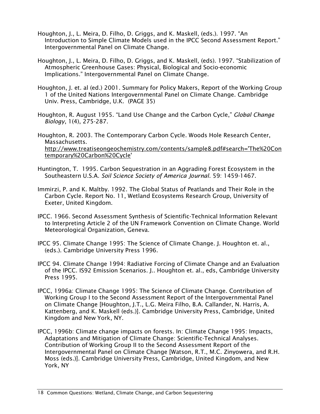- Houghton, J., L. Meira, D. Filho, D. Griggs, and K. Maskell, (eds.). 1997. "An Introduction to Simple Climate Models used in the IPCC Second Assessment Report." Intergovernmental Panel on Climate Change.
- Houghton, J., L. Meira, D. Filho, D. Griggs, and K. Maskell, (eds). 1997. "Stabilization of Atmospheric Greenhouse Gases: Physical, Biological and Socio-economic Implications." Intergovernmental Panel on Climate Change.
- Houghton, J. et. al (ed.) 2001. Summary for Policy Makers, Report of the Working Group 1 of the United Nations Intergovernmental Panel on Climate Change. Cambridge Univ. Press, Cambridge, U.K. (PAGE 35)
- Houghton, R. August 1955. "Land Use Change and the Carbon Cycle," *Global Change Biology*, 1(4), 275-287.

Houghton, R. 2003. The Contemporary Carbon Cycle. Woods Hole Research Center, Massachusetts. [http://www.treatiseongeochemistry.com/contents/sample8.pdf#search='The%20Con](http://www.treatiseongeochemistry.com/contents/sample8.pdf#search=) [temporary%20Carbon%20Cycle'](http://www.treatiseongeochemistry.com/contents/sample8.pdf#search=)

- Huntington, T. 1995. Carbon Sequestration in an Aggrading Forest Ecosystem in the Southeastern U.S.A. *Soil Science Society of America Journal*. 59: 1459-1467.
- Immirzi, P. and K. Maltby. 1992. The Global Status of Peatlands and Their Role in the Carbon Cycle. Report No. 11, Wetland Ecosystems Research Group, University of Exeter, United Kingdom.
- IPCC. 1966. Second Assessment Synthesis of Scientific-Technical Information Relevant to Interpreting Article 2 of the UN Framework Convention on Climate Change. World Meteorological Organization, Geneva.
- IPCC 95. Climate Change 1995: The Science of Climate Change. J. Houghton et. al., (eds.). Cambridge University Press 1996.
- IPCC 94. Climate Change 1994: Radiative Forcing of Climate Change and an Evaluation of the IPCC. IS92 Emission Scenarios. J.. Houghton et. al., eds, Cambridge University Press 1995.
- IPCC, 1996a: Climate Change 1995: The Science of Climate Change. Contribution of Working Group I to the Second Assessment Report of the Intergovernmental Panel on Climate Change [Houghton, J.T., L.G. Meira Filho, B.A. Callander, N. Harris, A. Kattenberg, and K. Maskell (eds.)]. Cambridge University Press, Cambridge, United Kingdom and New York, NY.
- IPCC, 1996b: Climate change impacts on forests. In: Climate Change 1995: Impacts, Adaptations and Mitigation of Climate Change: Scientific-Technical Analyses. Contribution of Working Group II to the Second Assessment Report of the Intergovernmental Panel on Climate Change [Watson, R.T., M.C. Zinyowera, and R.H. Moss (eds.)]. Cambridge University Press, Cambridge, United Kingdom, and New York, NY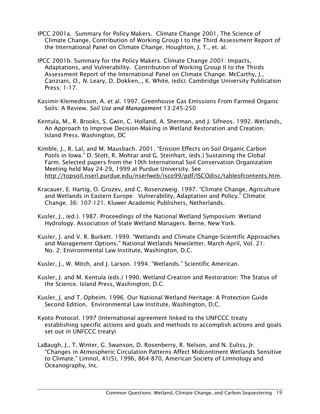- IPCC 2001a. Summary for Policy Makers. Climate Change 2001, The Science of Climate Change, Contribution of Working Group I to the Third Assessment Report of the International Panel on Climate Change. Houghton, J. T., et. al.
- IPCC 2001b. Summary for the Policy Makers. Climate Change 2001: Impacts, Adaptations, and Vulnerability. Contribution of Working Group II to the Thirds Assessment Report of the International Panel on Climate Change. McCarthy, J., Canziani, *O., N.* Leary, D. Dokken,., K. White, (eds); Cambridge University Publication Press; 1-17.
- Kasimir-Klemedtsson, A. et al. 1997. Greenhouse Gas Emissions From Farmed Organic Soils: A Review. *Soil Use and Management* 13:245-250
- Kentula, M., R. Brooks, S. Gwin, C. Holland, A. Sherman, and J. Sifneos. 1992. Wetlands, An Approach to Improve Decision-Making in Wetland Restoration and Creation. Island Press. Washington, DC
- Kimble, J., R. Lal, and M. Mausbach. 2001. "Erosion Effects on Soil Organic Carbon Pools in Iowa." D. Stott, R. Mohtar and G. Steinhart, (eds.) Sustaining the Global Farm. Selected papers from the 10th International Soil Conservation Organization Meeting held May 24-29, 1999 at Purdue University. See [http://topsoil.nserl.purdue.edu/nserlweb/isco99/pdf/ISCOdisc/tableofcontents.htm.](http://topsoil.nserl.purdue.edu/nserlweb/isco99/pdf/ISCOdisc/tableofcontents.htm)
- Kracauer, E. Hartig, O. Grozev, and C. Rosenzweig. 1997. "Climate Change, Agriculture and Wetlands in Eastern Europe: Vulnerability, Adaptation and Policy." Climatic Change. 36: 107-121. Kluwer Academic Publishers, Netherlands.
- Kusler, J., (ed.). 1987. Proceedings of the National Wetland Symposium: Wetland Hydrology. Association of State Wetland Managers. Berne, New York.
- Kusler, J. and V. R. Burkett. 1999. "Wetlands and Climate Change-Scientific Approaches and Management Options." National Wetlands Newsletter. March-April, Vol. 21: No. 2; Environmental Law Institute, Washington, D.C.
- Kusler, J., W. Mitch, and J. Larson. 1994. "Wetlands." Scientific American.
- Kusler, J. and M. Kentula (eds.) 1990. Wetland Creation and Restoration: The Status of the Science. Island Press, Washington, D.C.
- Kusler, J. and T. Opheim. 1996. Our National Wetland Heritage: A Protection Guide Second Edition. Environmental Law Institute, Washington, D.C.
- Kyoto Protocol. 1997 (International agreement linked to the UNFCCC treaty establishing specific actions and goals and methods to accomplish actions and goals set out in UNFCCC treaty)
- LaBaugh, J., T. Winter, G. Swanson, D. Rosenberry, R. Nelson, and N. Euliss, Jr. "Changes in Atmospheric Circulation Patterns Affect Midcontinent Wetlands Sensitive to Climate." Limnol, 41(5), 1996, 864-870, American Society of Limnology and Oceanography, Inc.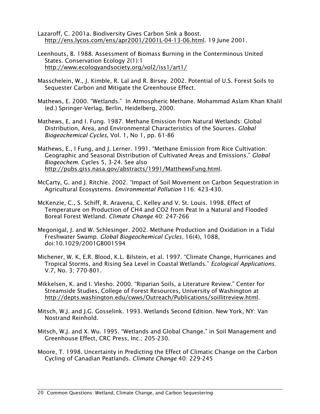- Lazaroff, C. 2001a. Biodiversity Gives Carbon Sink a Boost. [http://ens.lycos.com/ens/apr2001/2001L-04-13-06.html.](http://ens.lycos.com/ens/apr2001/2001L-04-13-06.html) 19 June 2001.
- Leenhouts, B. 1988. Assessment of Biomass Burning in the Conterminous United States. Conservation Ecology 2(1):1 <http://www.ecologyandsociety.org/vol2/iss1/art1/>
- Masschelein, W., J. Kimble, R. Lal and R. Birsey. 2002. Potential of U.S. Forest Soils to Sequester Carbon and Mitigate the Greenhouse Effect.
- Mathews, E. 2000. "Wetlands." In Atmospheric Methane. Mohammad Aslam Khan Khalil (ed.) Springer-Verlag, Berlin, Heidelberg, 2000.
- Mathews, E. and I. Fung. 1987. Methane Emission from Natural Wetlands: Global Distribution, Area, and Environmental Characteristics of the Sources. *Global Biogeochemical Cycles*, Vol. 1, No 1, pp. 61-86
- Mathews, E., I Fung, and J. Lerner. 1991. "Methane Emission from Rice Cultivation: Geographic and Seasonal Distribution of Cultivated Areas and Emissions." *Global Biogeochem*. Cycles 5, 3-24. See also [http://pubs.giss.nasa.gov/abstracts/1991/MatthewsFung.html.](http://pubs.giss.nasa.gov/abstracts/1991/MatthewsFung.html)
- McCarty, G. and J. Ritchie. 2002. "Impact of Soil Movement on Carbon Sequestration in Agricultural Ecosystems. *Environmental Pollution* 116: 423-430.
- McKenzie, C., S. Schiff, R. Aravena, C. Kelley and V. St. Louis. 1998. Effect of Temperature on Production of CH4 and CO2 from Peat In a Natural and Flooded Boreal Forest Wetland. *Climate Change* 40: 247-266
- Megonigal, J. and W. Schlesinger. 2002. Methane Production and Oxidation in a Tidal Freshwater Swamp. *Global Biogeochemical Cycles.* 16(4), 1088, doi:10.1029/2001GB001594
- Michener, W. K, E.R. Blood, K.L. Bilstein, et al. 1997. "Climate Change, Hurricanes and Tropical Storms, and Rising Sea Level in Coastal Wetlands." *Ecological Applications*. V.7, No. 3; 770-801.
- Mikkelsen, K. and I. Vlesho. 2000. "Riparian Soils, a Literature Review." Center for Streamside Studies, College of Forest Resources, University of Washington at [http://depts.washington.edu/cwws/Outreach/Publications/soillitreview.html.](http://depts.washington.edu/cwws/Outreach/Publications/soillitreview.html)
- Mitsch, W.J. and J.G. Gosselink. 1993. Wetlands Second Edition. New York, NY: Van Nostrand Reinhold.
- Mitsch, W.J. and X. Wu. 1995. "Wetlands and Global Change." in Soil Management and Greenhouse Effect, CRC Press, Inc.; 205-230.
- Moore, T. 1998. Uncertainty in Predicting the Effect of Climatic Change on the Carbon Cycling of Canadian Peatlands. *Climate Change* 40: 229-245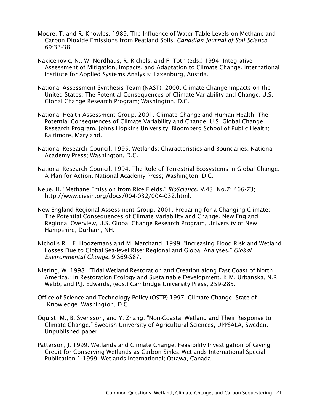- Moore, T. and R. Knowles. 1989. The Influence of Water Table Levels on Methane and Carbon Dioxide Emissions from Peatland Soils. *Canadian Journal of Soil Science* 69:33-38
- Nakicenovic, N., W. Nordhaus, R. Richels, and F. Toth (eds.) 1994. Integrative Assessment of Mitigation, Impacts, and Adaptation to Climate Change. International Institute for Applied Systems Analysis; Laxenburg, Austria.
- National Assessment Synthesis Team (NAST). 2000. Climate Change Impacts on the United States: The Potential Consequences of Climate Variability and Change. U.S. Global Change Research Program; Washington, D.C.
- National Health Assessment Group. 2001. Climate Change and Human Health: The Potential Consequences of Climate Variability and Change. U.S. Global Change Research Program. Johns Hopkins University, Bloomberg School of Public Health; Baltimore, Maryland.
- National Research Council. 1995. Wetlands: Characteristics and Boundaries. National Academy Press; Washington, D.C.
- National Research Council. 1994. The Role of Terrestrial Ecosystems in Global Change: A Plan for Action. National Academy Press; Washington, D.C.
- Neue, H. "Methane Emission from Rice Fields." *BioScience*. V.43, No.7; 466-73; [http://www.ciesin.org/docs/004-032/004-032.html.](http://www.ciesin.org/docs/004-032/004-032.html)
- New England Regional Assessment Group. 2001. Preparing for a Changing Climate: The Potential Consequences of Climate Variability and Change. New England Regional Overview, U.S. Global Change Research Program, University of New Hampshire; Durham, NH.
- Nicholls R.., F. Hoozemans and M. Marchand. 1999. "Increasing Flood Risk and Wetland Losses Due to Global Sea-level Rise: Regional and Global Analyses." *Global Environmental Change.* 9:S69-S87.
- Niering, W. 1998. "Tidal Wetland Restoration and Creation along East Coast of North America." In Restoration Ecology and Sustainable Development. K.M. Urbanska, N.R. Webb, and P.J. Edwards, (eds.) Cambridge University Press; 259-285.
- Office of Science and Technology Policy (OSTP) 1997. Climate Change: State of Knowledge. Washington, D.C.
- Oquist, M., B. Svensson, and Y. Zhang. "Non-Coastal Wetland and Their Response to Climate Change." Swedish University of Agricultural Sciences, UPPSALA, Sweden. Unpublished paper.
- Patterson, J. 1999. Wetlands and Climate Change: Feasibility Investigation of Giving Credit for Conserving Wetlands as Carbon Sinks. Wetlands International Special Publication 1-1999. Wetlands International; Ottawa, Canada.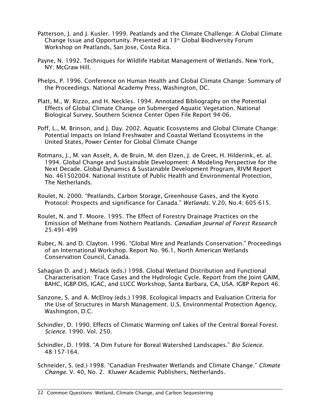- Patterson, J. and J. Kusler. 1999. Peatlands and the Climate Challenge: A Global Climate Change Issue and Opportunity. Presented at 13th Global Biodiversity Forum Workshop on Peatlands, San Jose, Costa Rica.
- Payne, N. 1992. Techniques for Wildlife Habitat Management of Wetlands. New York, NY: McGraw Hill.
- Phelps, P. 1996. Conference on Human Health and Global Climate Change: Summary of the Proceedings. National Academy Press, Washington, DC.
- Platt, M., W. Rizzo, and H. Neckles. 1994. Annotated Bibliography on the Potential Effects of Global Climate Change on Submerged Aquatic Vegetation. National Biological Survey, Southern Science Center Open File Report 94-06.
- Poff, L., M. Brinson, and J. Day. 2002. Aquatic Ecosystems and Global Climate Change: Potential Impacts on Inland Freshwater and Coastal Wetland Ecosystems in the United States, Power Center for Global Climate Change
- Rotmans, J., M. van Asselt, A. de Bruin, M. den Elzen, J. de Greet, H. Hilderink, et. al. 1994. Global Change and Sustainable Development: A Modeling Perspective for the Next Decade. Global Dynamics & Sustainable Development Program, RIVM Report No. 461502004. National Institute of Public Health and Environmental Protection, The Netherlands.
- Roulet, N. 2000. "Peatlands, Carbon Storage, Greenhouse Gases, and the Kyoto Protocol: Prospects and significance for Canada." *Wetlands.* V.20, No.4; 605-615.
- Roulet, N. and T. Moore. 1995. The Effect of Forestry Drainage Practices on the Emission of Methane from Nothern Peatlands. *Canadian Journal of Forest Research* 25:491-499
- Rubec, N. and D. Clayton. 1996. "Global Mire and Peatlands Conservation." Proceedings of an International Workshop*.* Report No. 96.1, North American Wetlands Conservation Council, Canada.
- Sahagian D. and J. Melack (eds.) 1998. Global Wetland Distribution and Functional Characterisation: Trace Gases and the Hydrologic Cycle. Report from the Joint GAIM, BAHC, IGBP-DIS, IGAC, and LUCC Workshop, Santa Barbara, CA, USA. IGBP Report 46.
- Sanzone, S. and A. McElroy (eds.) 1998. Ecological Impacts and Evaluation Criteria for the Use of Structures in Marsh Management. U.S. Environmental Protection Agency, Washington, D.C.
- Schindler, D. 1990. Effects of Climatic Warming onf Lakes of the Central Boreal Forest. *Science.* 1990. Vol. 250.
- Schindler, D. 1998. "A Dim Future for Boreal Watershed Landscapes." *Bio Science.* 48:157-164.
- Schneider, S. (ed.) 1998. "Canadian Freshwater Wetlands and Climate Change." *Climate Change.* V. 40, No. 2. Kluwer Academic Publishers, Netherlands.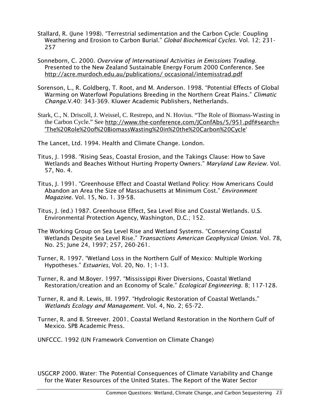- Stallard, R. (June 1998). "Terrestrial sedimentation and the Carbon Cycle: Coupling Weathering and Erosion to Carbon Burial." *Global Biochemical Cycles*. Vol. 12; 231- 257
- Sonneborn, C. 2000. *Overview of International Activities in Emissions Trading*. Presented to the New Zealand Sustainable Energy Forum 2000 Conference. See [http://acre.murdoch.edu.au/publications/ occasional/intemisstrad.pdf](http://acre.murdoch.edu.au/publications/%20occasional/intemisstrad.pdf)
- Sorenson, L., R. Goldberg, T. Root, and M. Anderson. 1998. "Potential Effects of Global Warming on Waterfowl Populations Breeding in the Northern Great Plains." *Climatic Change.*V.40: 343-369. Kluwer Academic Publishers, Netherlands.
- Stark, C., N. Driscoll, J. Weissel, C. Restrepo, and N. Hovius. "The Role of Biomass-Wasting in the Carbon Cycle." See [http://www.the-conference.com/JConfAbs/5/951.pdf#search=](http://www.the-conference.com/JConfAbs/5/951.pdf#search= )  ['The%20Role%20of%20BiomassWasting%20in%20the%20Carbon%20Cycle](http://www.the-conference.com/JConfAbs/5/951.pdf#search= )'

The Lancet, Ltd. 1994. Health and Climate Change. London.

- Titus, J. 1998. "Rising Seas, Coastal Erosion, and the Takings Clause: How to Save Wetlands and Beaches Without Hurting Property Owners." *Maryland Law Review*. Vol. 57, No. 4.
- Titus, J. 1991. "Greenhouse Effect and Coastal Wetland Policy: How Americans Could Abandon an Area the Size of Massachusetts at Minimum Cost." *Environment Magazine.* Vol. 15, No. 1. 39-58.
- Titus, J. (ed.) 1987. Greenhouse Effect, Sea Level Rise and Coastal Wetlands. U.S. Environmental Protection Agency, Washington, D.C.; 152.
- The Working Group on Sea Level Rise and Wetland Systems. "Conserving Coastal Wetlands Despite Sea Level Rise." *Transactions American Geophysical Union*. Vol. 78, No. 25; June 24, 1997; 257, 260-261.
- Turner, R. 1997. "Wetland Loss in the Northern Gulf of Mexico: Multiple Working Hypotheses." *Estuaries*, Vol. 20, No. 1; 1-13.
- Turner, R. and M.Boyer. 1997. "Mississippi River Diversions, Coastal Wetland Restoration/creation and an Economy of Scale." *Ecological Engineering*. 8; 117-128.
- Turner, R. and R. Lewis, III. 1997. "Hydrologic Restoration of Coastal Wetlands." *Wetlands Ecology and Management.* Vol. 4, No. 2; 65-72.
- Turner, R. and B. Streever. 2001. Coastal Wetland Restoration in the Northern Gulf of Mexico. SPB Academic Press.
- UNFCCC. 1992 (UN Framework Convention on Climate Change)

USGCRP 2000. Water: The Potential Consequences of Climate Variability and Change for the Water Resources of the United States*.* The Report of the Water Sector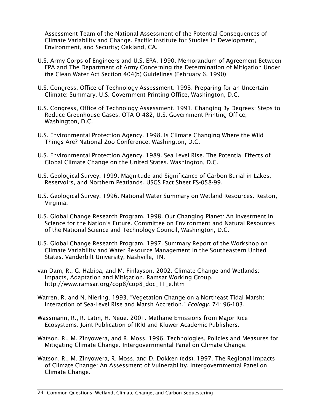Assessment Team of the National Assessment of the Potential Consequences of Climate Variability and Change. Pacific Institute for Studies in Development, Environment, and Security; Oakland, CA.

- U.S. Army Corps of Engineers and U.S. EPA. 1990. Memorandum of Agreement Between EPA and The Department of Army Concerning the Determination of Mitigation Under the Clean Water Act Section 404(b) Guidelines (February 6, 1990)
- U.S. Congress, Office of Technology Assessment. 1993. Preparing for an Uncertain Climate: Summary. U.S. Government Printing Office, Washington, D.C.
- U.S. Congress, Office of Technology Assessment. 1991. Changing By Degrees: Steps to Reduce Greenhouse Gases. OTA-O-482, U.S. Government Printing Office, Washington, D.C.
- U.S. Environmental Protection Agency. 1998. Is Climate Changing Where the Wild Things Are? National Zoo Conference; Washington, D.C.
- U.S. Environmental Protection Agency. 1989. Sea Level Rise. The Potential Effects of Global Climate Change on the United States. Washington, D.C.
- U.S. Geological Survey. 1999. Magnitude and Significance of Carbon Burial in Lakes, Reservoirs, and Northern Peatlands. USGS Fact Sheet FS-058-99.
- U.S. Geological Survey. 1996. National Water Summary on Wetland Resources. Reston, Virginia.
- U.S. Global Change Research Program. 1998. Our Changing Planet: An Investment in Science for the Nation's Future. Committee on Environment and Natural Resources of the National Science and Technology Council; Washington, D.C.
- U.S. Global Change Research Program. 1997. Summary Report of the Workshop on Climate Variability and Water Resource Management in the Southeastern United States. Vanderbilt University, Nashville, TN.
- van Dam, R., G. Habiba, and M. Finlayson. 2002. Climate Change and Wetlands: Impacts, Adaptation and Mitigation. Ramsar Working Group. [http://www.ramsar.org/cop8/cop8\\_doc\\_11\\_e.htm](http://www.ramsar.org/cop8/cop8_doc_11_e.htm)
- Warren, R. and N. Niering. 1993. "Vegetation Change on a Northeast Tidal Marsh: Interaction of Sea-Level Rise and Marsh Accretion." *Ecology.* 74: 96-103.
- Wassmann, R., R. Latin, H. Neue. 2001. Methane Emissions from Major Rice Ecosystems. Joint Publication of IRRI and Kluwer Academic Publishers.
- Watson, R., M. Zinyowera, and R. Moss. 1996. Technologies, Policies and Measures for Mitigating Climate Change. Intergovernmental Panel on Climate Change.
- Watson, R., M. Zinyowera, R. Moss, and D. Dokken (eds). 1997. The Regional Impacts of Climate Change: An Assessment of Vulnerability. Intergovernmental Panel on Climate Change.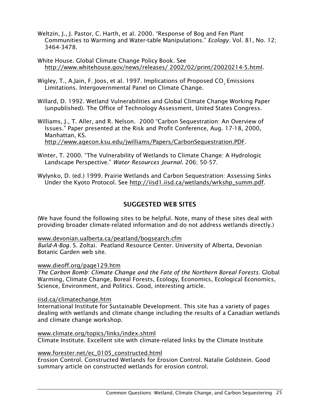- Weltzin, J., J. Pastor, C. Harth, et al. 2000. "Response of Bog and Fen Plant Communities to Warming and Water-table Manipulations." *Ecology.* Vol. 81, No. 12; 3464-3478.
- White House. Global Climate Change Policy Book*.* See [http://www.whitehouse.gov/news/releases/ 2002/02/print/20020214-5.html.](http://www.whitehouse.gov/news/releases/%202002/02/print/20020214-5.html)
- Wigley, T., A.Jain, F. Joos, et al. 1997. Implications of Proposed CO<sub>2</sub> Emissions Limitations. Intergovernmental Panel on Climate Change.
- Willard, D. 1992. Wetland Vulnerabilities and Global Climate Change Working Paper (unpublished). The Office of Technology Assessment, United States Congress.
- Williams, J., T. Aller, and R. Nelson. 2000 "Carbon Sequestration: An Overview of Issues." Paper presented at the Risk and Profit Conference, Aug. 17-18, 2000, Manhattan, KS. [http://www.agecon.ksu.edu/jwilliams/Papers/CarbonSequestration.PDF.](http://www.agecon.ksu.edu/jwilliams/Papers/CarbonSequestration.PDF)
- Winter, T. 2000. "The Vulnerability of Wetlands to Climate Change: A Hydrologic Landscape Perspective." *Water Resources Journal.* 206; 50-57.
- Wylynko, D. (ed.) 1999. Prairie Wetlands and Carbon Sequestration: Assessing Sinks Under the Kyoto Protocol. See [http://iisd1.iisd.ca/wetlands/wrkshp\\_summ.pdf.](http://iisd1.iisd.ca/wetlands/wrkshp_summ.pdf)

## SUGGESTED WEB SITES

(We have found the following sites to be helpful. Note, many of these sites deal with providing broader climate-related information and do not address wetlands directly.)

## [www.devonian.ualberta.ca/peatland/bogsearch.cfm](http://www.devonian.ualberta.ca/peatland/bogsearch.cfm)

*Build-A-Bog.* S. Zoltai. Peatland Resource Center. University of Alberta, Devonian Botanic Garden web site.

## [www.dieoff.org/page129.htm](http://www.dieoff.org/page129.htm)

*The Carbon Bomb: Climate Change and the Fate of the Northern Boreal Forests.* Global Warming, Climate Change, Boreal Forests, Ecology, Economics, Ecological Economics, Science, Environment, and Politics. Good, interesting article.

## [iisd.ca/climatechange.htm](http://iisd.ca/climatechange.htm)

International Institute for Sustainable Development. This site has a variety of pages dealing with wetlands and climate change including the results of a Canadian wetlands and climate change workshop.

## [www.climate.org/topics/links/index.shtml](http://www.climate.org/topics/links/index.shtml)

Climate Institute. Excellent site with climate-related links by the Climate Institute

## [www.forester.net/ec\\_0105\\_constructed.html](http://www.forester.net/ec_0105_constructed.html)

Erosion Control. Constructed Wetlands for Erosion Control. Natalie Goldstein. Good summary article on constructed wetlands for erosion control.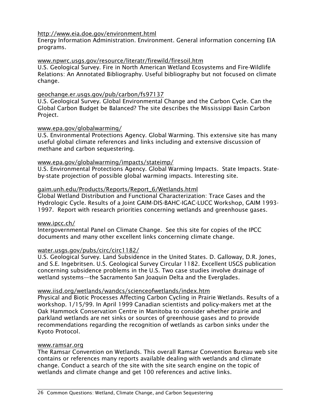## <http://www.eia.doe.gov/environment.html>

Energy Information Administration. Environment. General information concerning EIA programs.

## [www.npwrc.usgs.gov/resource/literatr/firewild/firesoil.htm](http://www.npwrc.usgs.gov/resource/literatr/firewild/firesoil.htm)

U.S. Geological Survey. Fire in North American Wetland Ecosystems and Fire-Wildlife Relations: An Annotated Bibliography. Useful bibliography but not focused on climate change.

## [geochange.er.usgs.gov/pub/carbon/fs97137](http://geochange.er.usgs.gov/pub/carbon/fs97137)

U.S. Geological Survey. Global Environmental Change and the Carbon Cycle. Can the Global Carbon Budget be Balanced? The site describes the Mississippi Basin Carbon Project.

## [www.epa.gov/globalwarming/](http://www.epa.gov/globalwarming/)

U.S. Environmental Protections Agency. Global Warming. This extensive site has many useful global climate references and links including and extensive discussion of methane and carbon sequestering.

## [www.epa.gov/globalwarming/impacts/stateimp/](http://www.epa.gov/globalwarming/impacts/stateimp/)

U.S. Environmental Protections Agency. Global Warming Impacts. State Impacts. Stateby-state projection of possible global warming impacts. Interesting site.

## [gaim.unh.edu/Products/Reports/Report\\_6/Wetlands.html](http://gaim.unh.edu/Products/Reports/Report_6/Wetlands.html)

Global Wetland Distribution and Functional Characterization: Trace Gases and the Hydrologic Cycle. Results of a Joint GAIM-DIS-BAHC-IGAC-LUCC Workshop, GAIM 1993- 1997. Report with research priorities concerning wetlands and greenhouse gases.

## [www.ipcc.ch/](http://www.ipcc.ch/)

Intergovernmental Panel on Climate Change. See this site for copies of the IPCC documents and many other excellent links concerning climate change.

## [water.usgs.gov/pubs/circ/circ1182/](http://water.usgs.gov/pubs/circ/circ1182/)

U.S. Geological Survey. Land Subsidence in the United States. D. Galloway, D.R. Jones, and S.E. Ingebritsen. U.S. Geological Survey Circular 1182. Excellent USGS publication concerning subsidence problems in the U.S. Two case studies involve drainage of wetland systems—the Sacramento San Joaquin Delta and the Everglades.

## [www.iisd.org/wetlands/wandcs/scienceofwetlands/index.htm](http://www.iisd.org/wetlands/wandcs/scienceofwetlands/index.htm)

Physical and Biotic Processes Affecting Carbon Cycling in Prairie Wetlands. Results of a workshop. 1/15/99. In April 1999 Canadian scientists and policy-makers met at the Oak Hammock Conservation Centre in Manitoba to consider whether prairie and parkland wetlands are net sinks or sources of greenhouse gases and to provide recommendations regarding the recognition of wetlands as carbon sinks under the Kyoto Protocol.

## [www.ramsar.org](http://www.ramsar.org/)

The Ramsar Convention on Wetlands. This overall Ramsar Convention Bureau web site contains or references many reports available dealing with wetlands and climate change. Conduct a search of the site with the site search engine on the topic of wetlands and climate change and get 100 references and active links.